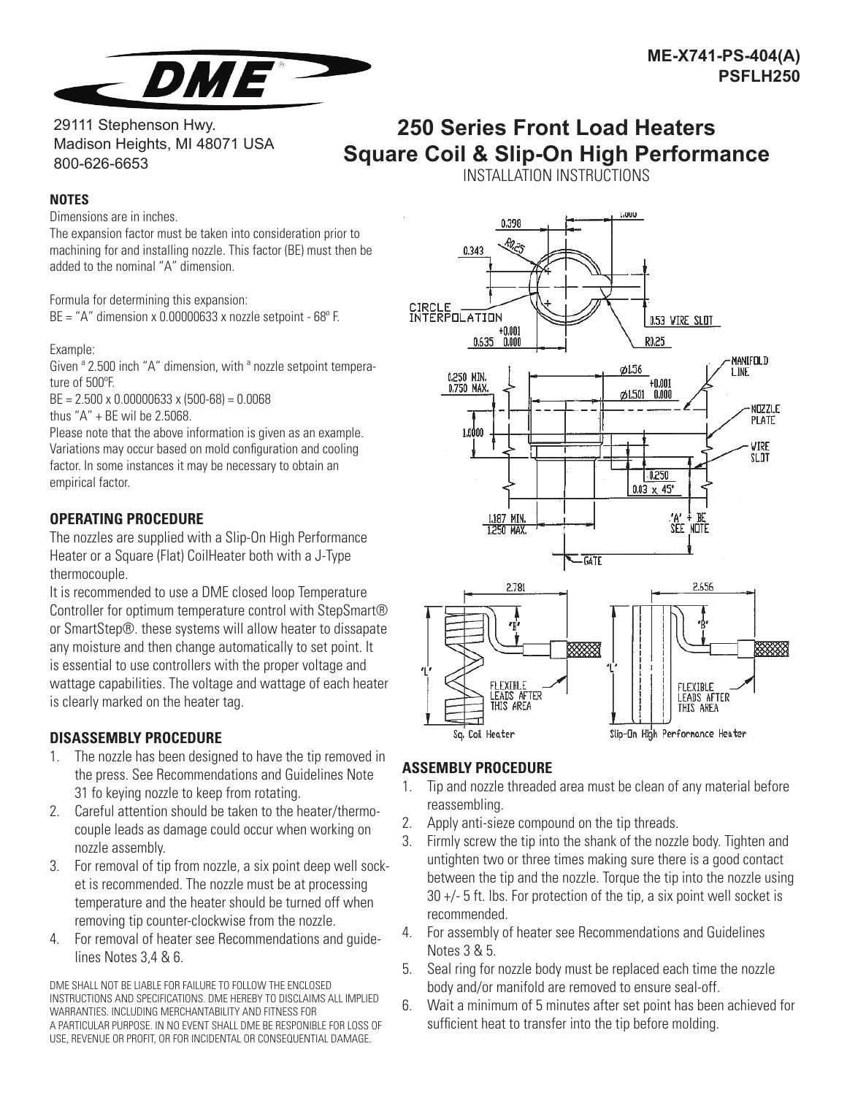

29111 Stephenson Hwy. Madison Heights, MI 48071 USA 800-626-6653

# **250 Series Front Load Heaters Square Coil & Slip-On High Performance**

### **NOTES**

Dimensions are in inches.

The expansion factor must be taken into consideration prior to machining for and installing nozzle. This factor (BE) must then be added to the nominal "A" dimension.

Formula for determining this expansion:  $BE = "A"$  dimension x 0.00000633 x nozzle setpoint - 68 $^{\circ}$  F.

#### Example:

Given  $a$  2.500 inch "A" dimension, with  $a$  nozzle setpoint temperature of 500°F.

BE = 2.500 x 0.00000633 x (500-68) = 0.0068

thus "A" + BE wil be 2.5068.

Please note that the above information is given as an example. Variations may occur based on mold configuration and cooling factor. In some instances it may be necessary to obtain an empirical factor.

## **OPERATING PROCEDURE**

The nozzles are supplied with a Slip-On High Performance Heater or a Square (Flat) CoilHeater both with a J-Type thermocouple.

It is recommended to use a DME closed loop Temperature Controller for optimum temperature control with StepSmart® or SmartStep®. these systems will allow heater to dissapate any moisture and then change automatically to set point. It is essential to use controllers with the proper voltage and wattage capabilities. The voltage and wattage of each heater is clearly marked on the heater tag.

## **DISASSEMBLY PROCEDURE**

- 1. The nozzle has been designed to have the tip removed in the press. See Recommendations and Guidelines Note 31 fo keying nozzle to keep from rotating.
- 2. Careful attention should be taken to the heater/thermocouple leads as damage could occur when working on nozzle assembly.
- 3. For removal of tip from nozzle, a six point deep well socket is recommended. The nozzle must be at processing temperature and the heater should be turned off when removing tip counter-clockwise from the nozzle.
- 4. For removal of heater see Recommendations and guidelines Notes 3,4 & 6.

DME SHALL NOT BE LIABLE FOR FAILURE TO FOLLOW THE ENCLOSED INSTRUCTIONS AND SPECIFICATIONS. DME HEREBY TO DISCLAIMS ALL IMPLIED WARRANTIES. INCLUDING MERCHANTABILITY AND FITNESS FOR A PARTICULAR PURPOSE. IN NO EVENT SHALL DME BE RESPONIBLE FOR LOSS OF USE, REVENUE OR PROFIT, OR FOR INCIDENTAL OR CONSEQUENTIAL DAMAGE.

INSTALLATION INSTRUCTIONS



# **ASSEMBLY PROCEDURE**

- 1. Tip and nozzle threaded area must be clean of any material before reassembling.
- 2. Apply anti-sieze compound on the tip threads.
- 3. Firmly screw the tip into the shank of the nozzle body. Tighten and untighten two or three times making sure there is a good contact between the tip and the nozzle. Torque the tip into the nozzle using 30 +/- 5 ft. lbs. For protection of the tip, a six point well socket is recommended.
- 4. For assembly of heater see Recommendations and Guidelines Notes 3 & 5.
- 5. Seal ring for nozzle body must be replaced each time the nozzle body and/or manifold are removed to ensure seal-off.
- 6. Wait a minimum of 5 minutes after set point has been achieved for sufficient heat to transfer into the tip before molding.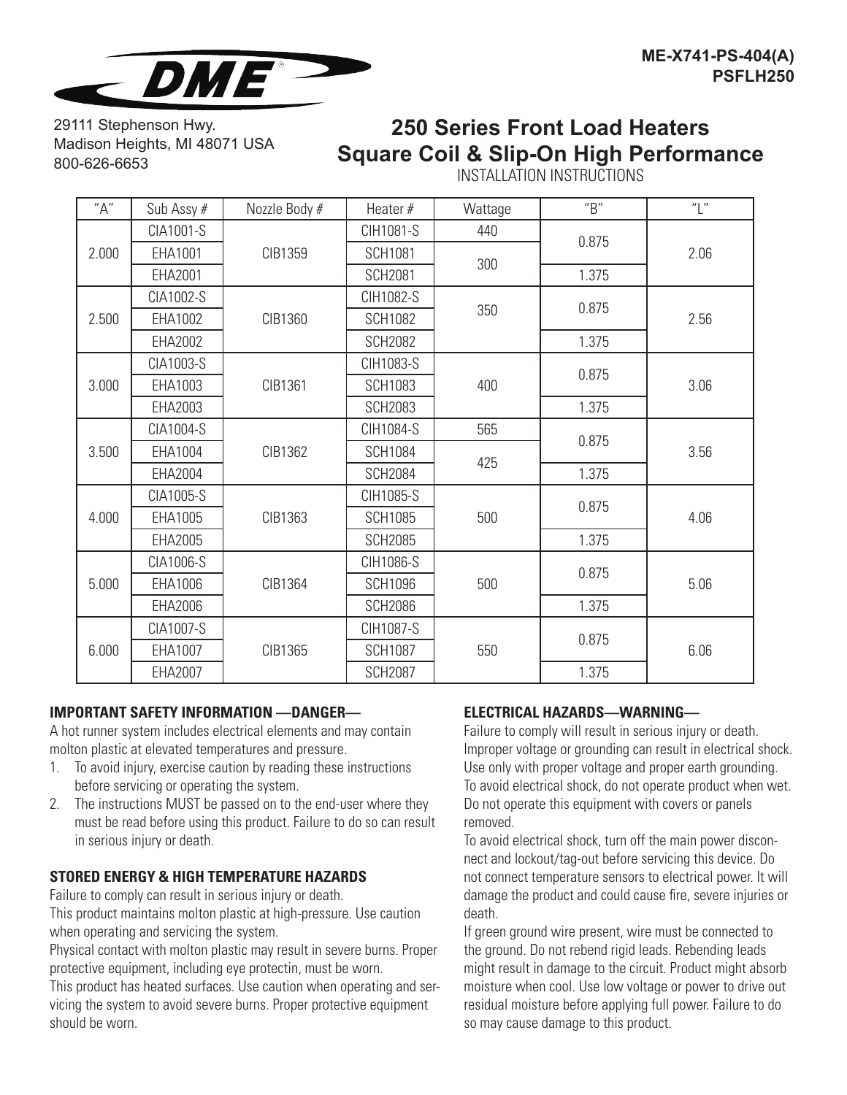![](_page_1_Picture_0.jpeg)

29111 Stephenson Hwy. Madison Heights, MI 48071 USA 800-626-6653

# **250 Series Front Load Heaters Square Coil & Slip-On High Performance**

INSTALLATION INSTRUCTIONS

| "A"   | Sub Assy # | Nozzle Body # | Heater #       | Wattage | "B"   | "L"  |
|-------|------------|---------------|----------------|---------|-------|------|
| 2.000 | CIA1001-S  | CIB1359       | CIH1081-S      | 440     | 0.875 | 2.06 |
|       | EHA1001    |               | <b>SCH1081</b> | 300     |       |      |
|       | EHA2001    |               | <b>SCH2081</b> |         | 1.375 |      |
| 2.500 | CIA1002-S  | CIB1360       | CIH1082-S      | 350     | 0.875 | 2.56 |
|       | EHA1002    |               | <b>SCH1082</b> |         |       |      |
|       | EHA2002    |               | <b>SCH2082</b> |         | 1.375 |      |
| 3.000 | CIA1003-S  | CIB1361       | CIH1083-S      | 400     | 0.875 | 3.06 |
|       | EHA1003    |               | <b>SCH1083</b> |         |       |      |
|       | EHA2003    |               | <b>SCH2083</b> |         | 1.375 |      |
| 3.500 | CIA1004-S  | CIB1362       | CIH1084-S      | 565     | 0.875 | 3.56 |
|       | EHA1004    |               | <b>SCH1084</b> | 425     |       |      |
|       | EHA2004    |               | <b>SCH2084</b> |         | 1.375 |      |
| 4.000 | CIA1005-S  | CIB1363       | CIH1085-S      | 500     | 0.875 | 4.06 |
|       | EHA1005    |               | <b>SCH1085</b> |         |       |      |
|       | EHA2005    |               | <b>SCH2085</b> |         | 1.375 |      |
| 5.000 | CIA1006-S  | CIB1364       | CIH1086-S      | 500     | 0.875 | 5.06 |
|       | EHA1006    |               | <b>SCH1096</b> |         |       |      |
|       | EHA2006    |               | <b>SCH2086</b> |         | 1.375 |      |
| 6.000 | CIA1007-S  | CIB1365       | CIH1087-S      | 550     | 0.875 | 6.06 |
|       | EHA1007    |               | <b>SCH1087</b> |         |       |      |
|       | EHA2007    |               | <b>SCH2087</b> |         | 1.375 |      |

## **IMPORTANT SAFETY INFORMATION —DANGER—**

A hot runner system includes electrical elements and may contain molton plastic at elevated temperatures and pressure.

- 1. To avoid injury, exercise caution by reading these instructions before servicing or operating the system.
- 2. The instructions MUST be passed on to the end-user where they must be read before using this product. Failure to do so can result in serious injury or death.

# **STORED ENERGY & HIGH TEMPERATURE HAZARDS**

Failure to comply can result in serious injury or death.

This product maintains molton plastic at high-pressure. Use caution when operating and servicing the system.

Physical contact with molton plastic may result in severe burns. Proper protective equipment, including eye protectin, must be worn.

This product has heated surfaces. Use caution when operating and servicing the system to avoid severe burns. Proper protective equipment should be worn.

## **ELECTRICAL HAZARDS—WARNING—**

Failure to comply will result in serious injury or death. Improper voltage or grounding can result in electrical shock. Use only with proper voltage and proper earth grounding. To avoid electrical shock, do not operate product when wet. Do not operate this equipment with covers or panels removed.

To avoid electrical shock, turn off the main power disconnect and lockout/tag-out before servicing this device. Do not connect temperature sensors to electrical power. It will damage the product and could cause fire, severe injuries or death.

If green ground wire present, wire must be connected to the ground. Do not rebend rigid leads. Rebending leads might result in damage to the circuit. Product might absorb moisture when cool. Use low voltage or power to drive out residual moisture before applying full power. Failure to do so may cause damage to this product.